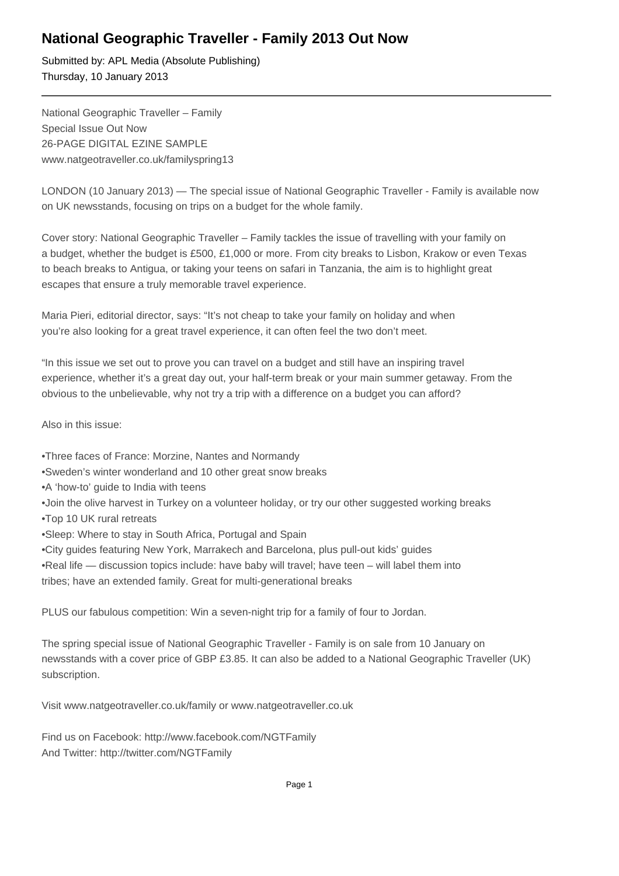## **National Geographic Traveller - Family 2013 Out Now**

Submitted by: APL Media (Absolute Publishing) Thursday, 10 January 2013

National Geographic Traveller – Family Special Issue Out Now 26-PAGE DIGITAL EZINE SAMPLE www.natgeotraveller.co.uk/familyspring13

LONDON (10 January 2013) — The special issue of National Geographic Traveller - Family is available now on UK newsstands, focusing on trips on a budget for the whole family.

Cover story: National Geographic Traveller – Family tackles the issue of travelling with your family on a budget, whether the budget is £500, £1,000 or more. From city breaks to Lisbon, Krakow or even Texas to beach breaks to Antigua, or taking your teens on safari in Tanzania, the aim is to highlight great escapes that ensure a truly memorable travel experience.

Maria Pieri, editorial director, says: "It's not cheap to take your family on holiday and when you're also looking for a great travel experience, it can often feel the two don't meet.

"In this issue we set out to prove you can travel on a budget and still have an inspiring travel experience, whether it's a great day out, your half-term break or your main summer getaway. From the obvious to the unbelievable, why not try a trip with a difference on a budget you can afford?

Also in this issue:

- Three faces of France: Morzine, Nantes and Normandy
- • Sweden's winter wonderland and 10 other great snow breaks
- • A 'how-to' guide to India with teens
- • Join the olive harvest in Turkey on a volunteer holiday, or try our other suggested working breaks
- • Top 10 UK rural retreats
- Sleep: Where to stay in South Africa, Portugal and Spain
- • City guides featuring New York, Marrakech and Barcelona, plus pull-out kids' guides
- Real life discussion topics include: have baby will travel; have teen will label them into

tribes; have an extended family. Great for multi-generational breaks

PLUS our fabulous competition: Win a seven-night trip for a family of four to Jordan.

The spring special issue of National Geographic Traveller - Family is on sale from 10 January on newsstands with a cover price of GBP £3.85. It can also be added to a National Geographic Traveller (UK) subscription.

Visit www.natgeotraveller.co.uk/family or www.natgeotraveller.co.uk

Find us on Facebook: http://www.facebook.com/NGTFamily And Twitter: http://twitter.com/NGTFamily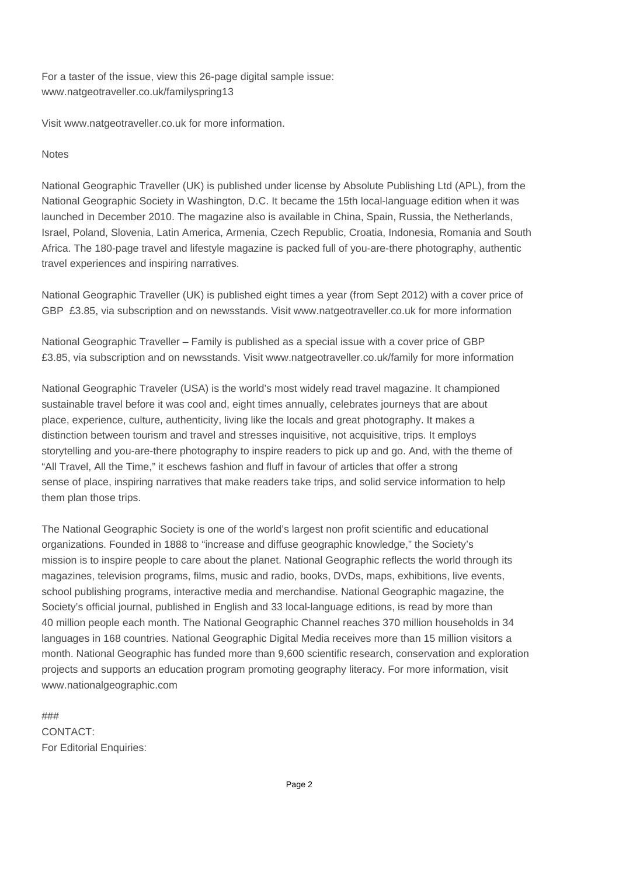For a taster of the issue, view this 26-page digital sample issue: www.natgeotraveller.co.uk/familyspring13

Visit www.natgeotraveller.co.uk for more information.

## **Notes**

National Geographic Traveller (UK) is published under license by Absolute Publishing Ltd (APL), from the National Geographic Society in Washington, D.C. It became the 15th local-language edition when it was launched in December 2010. The magazine also is available in China, Spain, Russia, the Netherlands, Israel, Poland, Slovenia, Latin America, Armenia, Czech Republic, Croatia, Indonesia, Romania and South Africa. The 180-page travel and lifestyle magazine is packed full of you-are-there photography, authentic travel experiences and inspiring narratives.

National Geographic Traveller (UK) is published eight times a year (from Sept 2012) with a cover price of GBP £3.85, via subscription and on newsstands. Visit www.natgeotraveller.co.uk for more information

National Geographic Traveller – Family is published as a special issue with a cover price of GBP £3.85, via subscription and on newsstands. Visit www.natgeotraveller.co.uk/family for more information

National Geographic Traveler (USA) is the world's most widely read travel magazine. It championed sustainable travel before it was cool and, eight times annually, celebrates journeys that are about place, experience, culture, authenticity, living like the locals and great photography. It makes a distinction between tourism and travel and stresses inquisitive, not acquisitive, trips. It employs storytelling and you-are-there photography to inspire readers to pick up and go. And, with the theme of "All Travel, All the Time," it eschews fashion and fluff in favour of articles that offer a strong sense of place, inspiring narratives that make readers take trips, and solid service information to help them plan those trips.

The National Geographic Society is one of the world's largest non profit scientific and educational organizations. Founded in 1888 to "increase and diffuse geographic knowledge," the Society's mission is to inspire people to care about the planet. National Geographic reflects the world through its magazines, television programs, films, music and radio, books, DVDs, maps, exhibitions, live events, school publishing programs, interactive media and merchandise. National Geographic magazine, the Society's official journal, published in English and 33 local-language editions, is read by more than 40 million people each month. The National Geographic Channel reaches 370 million households in 34 languages in 168 countries. National Geographic Digital Media receives more than 15 million visitors a month. National Geographic has funded more than 9,600 scientific research, conservation and exploration projects and supports an education program promoting geography literacy. For more information, visit www.nationalgeographic.com

### CONTACT: For Editorial Enquiries: